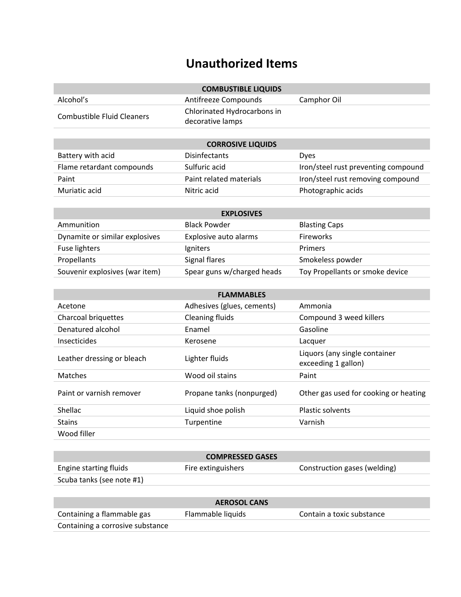## **Unauthorized Items**

| <b>COMBUSTIBLE LIQUIDS</b>                      |  |  |  |  |
|-------------------------------------------------|--|--|--|--|
| Antifreeze Compounds<br>Camphor Oil             |  |  |  |  |
| Chlorinated Hydrocarbons in<br>decorative lamps |  |  |  |  |
|                                                 |  |  |  |  |

| <b>CORROSIVE LIQUIDS</b>  |                         |                                     |  |
|---------------------------|-------------------------|-------------------------------------|--|
| Battery with acid         | <b>Disinfectants</b>    | <b>Dyes</b>                         |  |
| Flame retardant compounds | Sulfuric acid           | Iron/steel rust preventing compound |  |
| Paint                     | Paint related materials | Iron/steel rust removing compound   |  |
| Muriatic acid             | Nitric acid             | Photographic acids                  |  |

| <b>EXPLOSIVES</b>              |                            |                                 |  |
|--------------------------------|----------------------------|---------------------------------|--|
| Ammunition                     | <b>Black Powder</b>        | <b>Blasting Caps</b>            |  |
| Dynamite or similar explosives | Explosive auto alarms      | <b>Fireworks</b>                |  |
| Fuse lighters                  | Igniters                   | <b>Primers</b>                  |  |
| Propellants                    | Signal flares              | Smokeless powder                |  |
| Souvenir explosives (war item) | Spear guns w/charged heads | Toy Propellants or smoke device |  |

| <b>FLAMMABLES</b>                 |                            |                                                      |  |
|-----------------------------------|----------------------------|------------------------------------------------------|--|
| Acetone                           | Adhesives (glues, cements) | Ammonia                                              |  |
| Charcoal briquettes               | Cleaning fluids            | Compound 3 weed killers                              |  |
| Denatured alcohol                 | Enamel                     | Gasoline                                             |  |
| <i><u><b>Insecticides</b></u></i> | Kerosene                   | Lacquer                                              |  |
| Leather dressing or bleach        | Lighter fluids             | Liquors (any single container<br>exceeding 1 gallon) |  |
| <b>Matches</b>                    | Wood oil stains            | Paint                                                |  |
| Paint or varnish remover          | Propane tanks (nonpurged)  | Other gas used for cooking or heating                |  |
| <b>Shellac</b>                    | Liquid shoe polish         | <b>Plastic solvents</b>                              |  |
| <b>Stains</b>                     | <b>Turpentine</b>          | Varnish                                              |  |
| Wood filler                       |                            |                                                      |  |

| <b>COMPRESSED GASES</b>   |                    |                              |  |
|---------------------------|--------------------|------------------------------|--|
| Engine starting fluids    | Fire extinguishers | Construction gases (welding) |  |
| Scuba tanks (see note #1) |                    |                              |  |

| <b>AEROSOL CANS</b>              |                   |                           |  |
|----------------------------------|-------------------|---------------------------|--|
| Containing a flammable gas       | Flammable liquids | Contain a toxic substance |  |
| Containing a corrosive substance |                   |                           |  |